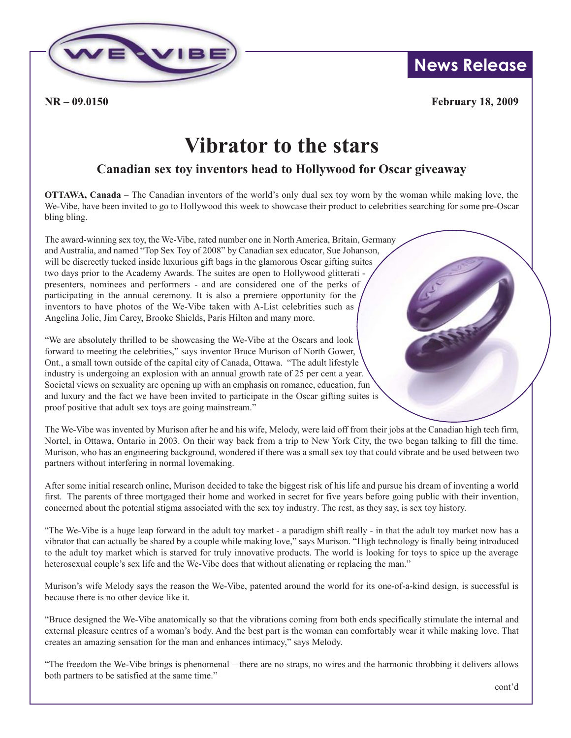

 $NR - 09.0150$ 

**News Release**

**February 18, 2009** 

## **Vibrator to the stars**

## **Canadian sex toy inventors head to Hollywood for Oscar giveaway**

**OTTAWA, Canada** – The Canadian inventors of the world's only dual sex toy worn by the woman while making love, the We-Vibe, have been invited to go to Hollywood this week to showcase their product to celebrities searching for some pre-Oscar bling bling.

The award-winning sex toy, the We-Vibe, rated number one in North America, Britain, Germany and Australia, and named "Top Sex Toy of 2008" by Canadian sex educator, Sue Johanson, will be discreetly tucked inside luxurious gift bags in the glamorous Oscar gifting suites two days prior to the Academy Awards. The suites are open to Hollywood glitterati presenters, nominees and performers - and are considered one of the perks of participating in the annual ceremony. It is also a premiere opportunity for the inventors to have photos of the We-Vibe taken with A-List celebrities such as Angelina Jolie, Jim Carey, Brooke Shields, Paris Hilton and many more.

"We are absolutely thrilled to be showcasing the We-Vibe at the Oscars and look forward to meeting the celebrities," says inventor Bruce Murison of North Gower, Ont., a small town outside of the capital city of Canada, Ottawa. "The adult lifestyle industry is undergoing an explosion with an annual growth rate of 25 per cent a year. Societal views on sexuality are opening up with an emphasis on romance, education, fun and luxury and the fact we have been invited to participate in the Oscar gifting suites is proof positive that adult sex toys are going mainstream."

The We-Vibe was invented by Murison after he and his wife, Melody, were laid off from their jobs at the Canadian high tech firm, Nortel, in Ottawa, Ontario in 2003. On their way back from a trip to New York City, the two began talking to fill the time. Murison, who has an engineering background, wondered if there was a small sex toy that could vibrate and be used between two partners without interfering in normal lovemaking.

After some initial research online, Murison decided to take the biggest risk of his life and pursue his dream of inventing a world first. The parents of three mortgaged their home and worked in secret for five years before going public with their invention, concerned about the potential stigma associated with the sex toy industry. The rest, as they say, is sex toy history.

"The We-Vibe is a huge leap forward in the adult toy market - a paradigm shift really - in that the adult toy market now has a vibrator that can actually be shared by a couple while making love," says Murison. "High technology is finally being introduced to the adult toy market which is starved for truly innovative products. The world is looking for toys to spice up the average heterosexual couple's sex life and the We-Vibe does that without alienating or replacing the man."

Murison's wife Melody says the reason the We-Vibe, patented around the world for its one-of-a-kind design, is successful is because there is no other device like it.

"Bruce designed the We-Vibe anatomically so that the vibrations coming from both ends specifically stimulate the internal and external pleasure centres of a woman's body. And the best part is the woman can comfortably wear it while making love. That creates an amazing sensation for the man and enhances intimacy," says Melody.

"The freedom the We-Vibe brings is phenomenal – there are no straps, no wires and the harmonic throbbing it delivers allows both partners to be satisfied at the same time."